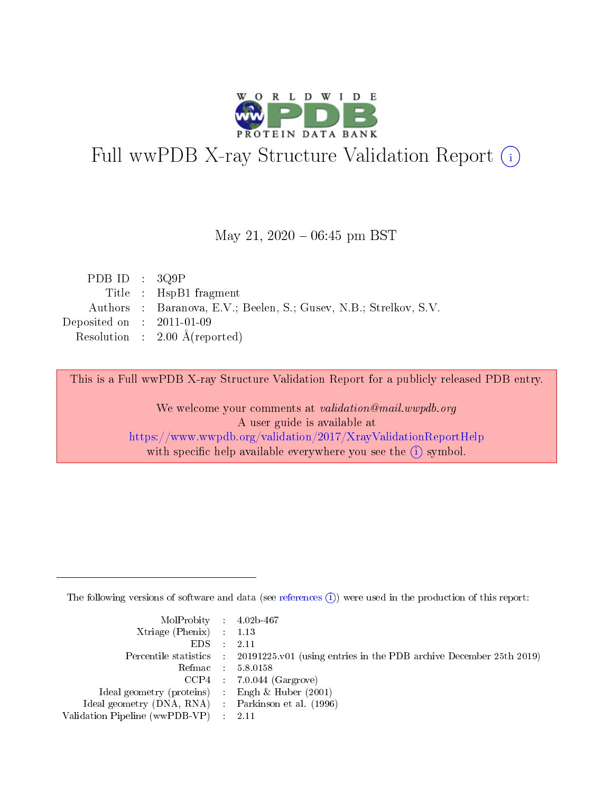

# Full wwPDB X-ray Structure Validation Report (i)

#### May 21,  $2020 - 06:45$  pm BST

| PDB ID : $3Q9P$                      |                                                                   |
|--------------------------------------|-------------------------------------------------------------------|
|                                      | Title : HspB1 fragment                                            |
|                                      | Authors : Baranova, E.V.; Beelen, S.; Gusev, N.B.; Strelkov, S.V. |
| Deposited on $\therefore$ 2011-01-09 |                                                                   |
|                                      | Resolution : $2.00 \text{ Å}$ (reported)                          |

This is a Full wwPDB X-ray Structure Validation Report for a publicly released PDB entry.

We welcome your comments at validation@mail.wwpdb.org A user guide is available at <https://www.wwpdb.org/validation/2017/XrayValidationReportHelp> with specific help available everywhere you see the  $(i)$  symbol.

The following versions of software and data (see [references](https://www.wwpdb.org/validation/2017/XrayValidationReportHelp#references)  $(i)$ ) were used in the production of this report:

| $MolProbability$ 4.02b-467                          |                                                                                            |
|-----------------------------------------------------|--------------------------------------------------------------------------------------------|
| Xtriage (Phenix) $: 1.13$                           |                                                                                            |
| EDS -                                               | -2.11                                                                                      |
|                                                     | Percentile statistics : 20191225.v01 (using entries in the PDB archive December 25th 2019) |
|                                                     | Refmac 58.0158                                                                             |
|                                                     | $CCP4$ : 7.0.044 (Gargrove)                                                                |
| Ideal geometry (proteins) : Engh $\&$ Huber (2001)  |                                                                                            |
| Ideal geometry (DNA, RNA) : Parkinson et al. (1996) |                                                                                            |
| Validation Pipeline (wwPDB-VP) :                    | -2.11                                                                                      |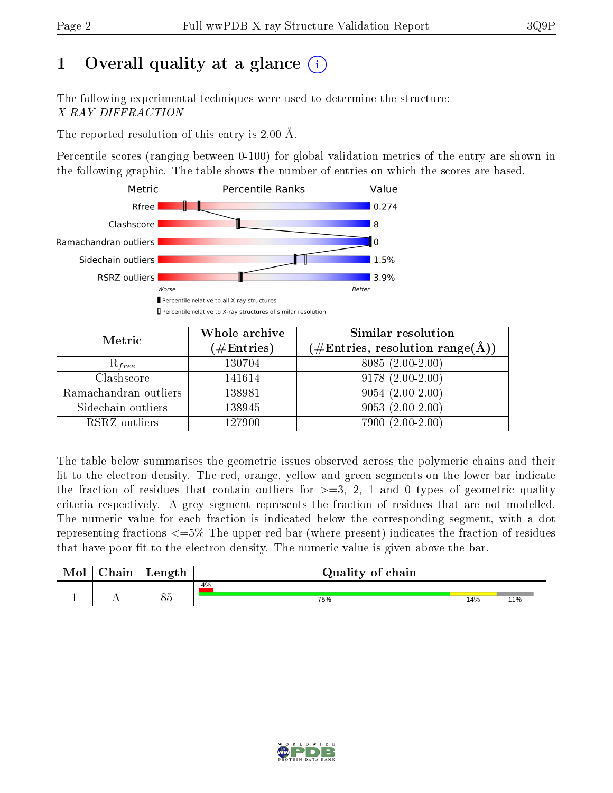# 1 [O](https://www.wwpdb.org/validation/2017/XrayValidationReportHelp#overall_quality)verall quality at a glance  $(i)$

The following experimental techniques were used to determine the structure: X-RAY DIFFRACTION

The reported resolution of this entry is 2.00 Å.

Percentile scores (ranging between 0-100) for global validation metrics of the entry are shown in the following graphic. The table shows the number of entries on which the scores are based.



| Metric                | Whole archive<br>$(\#\text{Entries})$ | Similar resolution<br>$(\#\text{Entries},\,\text{resolution}\,\,\text{range}(\textup{\AA}))$ |
|-----------------------|---------------------------------------|----------------------------------------------------------------------------------------------|
| $R_{free}$            | 130704                                | 8085 (2.00-2.00)                                                                             |
| Clashscore            | 141614                                | $9178(2.00-2.00)$                                                                            |
| Ramachandran outliers | 138981                                | $9054(2.00-2.00)$                                                                            |
| Sidechain outliers    | 138945                                | $9053(2.00-2.00)$                                                                            |
| RSRZ outliers         | 127900                                | 7900 (2.00-2.00)                                                                             |

The table below summarises the geometric issues observed across the polymeric chains and their fit to the electron density. The red, orange, yellow and green segments on the lower bar indicate the fraction of residues that contain outliers for  $>=3, 2, 1$  and 0 types of geometric quality criteria respectively. A grey segment represents the fraction of residues that are not modelled. The numeric value for each fraction is indicated below the corresponding segment, with a dot representing fractions  $\epsilon=5\%$  The upper red bar (where present) indicates the fraction of residues that have poor fit to the electron density. The numeric value is given above the bar.

| Mol           | aain '     | Length    | Quality of chain |     |     |
|---------------|------------|-----------|------------------|-----|-----|
|               |            |           | 4%               |     |     |
| <u>. на п</u> | <u>. .</u> | O E<br>೧೯ | 75%              | 14% | 11% |

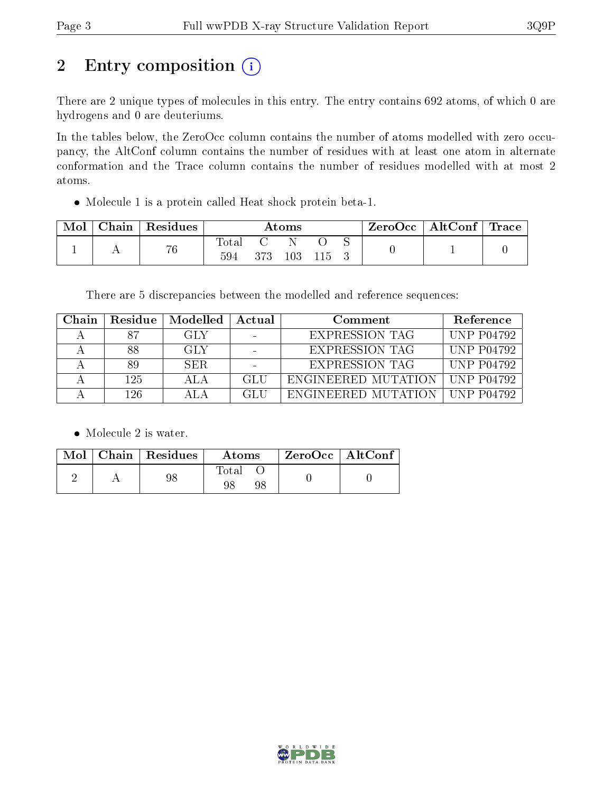# 2 Entry composition  $(i)$

There are 2 unique types of molecules in this entry. The entry contains 692 atoms, of which 0 are hydrogens and 0 are deuteriums.

In the tables below, the ZeroOcc column contains the number of atoms modelled with zero occupancy, the AltConf column contains the number of residues with at least one atom in alternate conformation and the Trace column contains the number of residues modelled with at most 2 atoms.

Molecule 1 is a protein called Heat shock protein beta-1.

| Mol | Chain   Residues | $\rm{Atoms}$ |     |     |  |  | ZeroOcc   AltConf   Trace |  |
|-----|------------------|--------------|-----|-----|--|--|---------------------------|--|
|     | 76               | Total<br>594 | 373 | 103 |  |  |                           |  |

There are 5 discrepancies between the modelled and reference sequences:

| Chain | Residue | Modelled | Actual | Comment               | Reference         |
|-------|---------|----------|--------|-----------------------|-------------------|
|       | 87      | GLY      |        | <b>EXPRESSION TAG</b> | <b>UNP P04792</b> |
|       | 88      | GLY      |        | <b>EXPRESSION TAG</b> | <b>UNP P04792</b> |
|       | 89      | SER.     |        | <b>EXPRESSION TAG</b> | <b>UNP P04792</b> |
|       | 125     | ALA      | GL U   | ENGINEERED MUTATION   | UNP P $04792$     |
|       | 126     |          | GL H   | ENGINEERED MUTATION   | UNP P04792        |

• Molecule 2 is water.

|  | Mol   Chain   Residues | Atoms | $ZeroOcc$   AltConf |
|--|------------------------|-------|---------------------|
|  | 98                     | Total |                     |

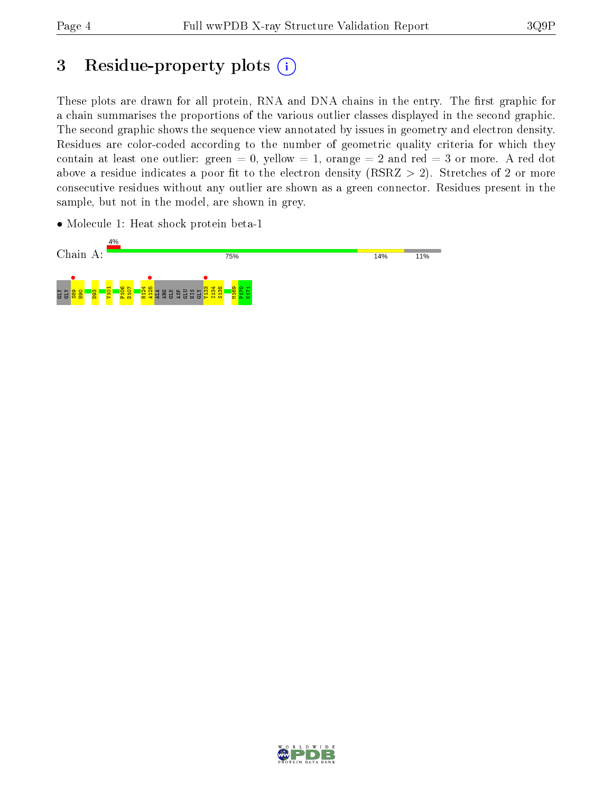# 3 Residue-property plots (i)

These plots are drawn for all protein, RNA and DNA chains in the entry. The first graphic for a chain summarises the proportions of the various outlier classes displayed in the second graphic. The second graphic shows the sequence view annotated by issues in geometry and electron density. Residues are color-coded according to the number of geometric quality criteria for which they contain at least one outlier: green  $= 0$ , yellow  $= 1$ , orange  $= 2$  and red  $= 3$  or more. A red dot above a residue indicates a poor fit to the electron density (RSRZ  $> 2$ ). Stretches of 2 or more consecutive residues without any outlier are shown as a green connector. Residues present in the sample, but not in the model, are shown in grey.

• Molecule 1: Heat shock protein beta-1



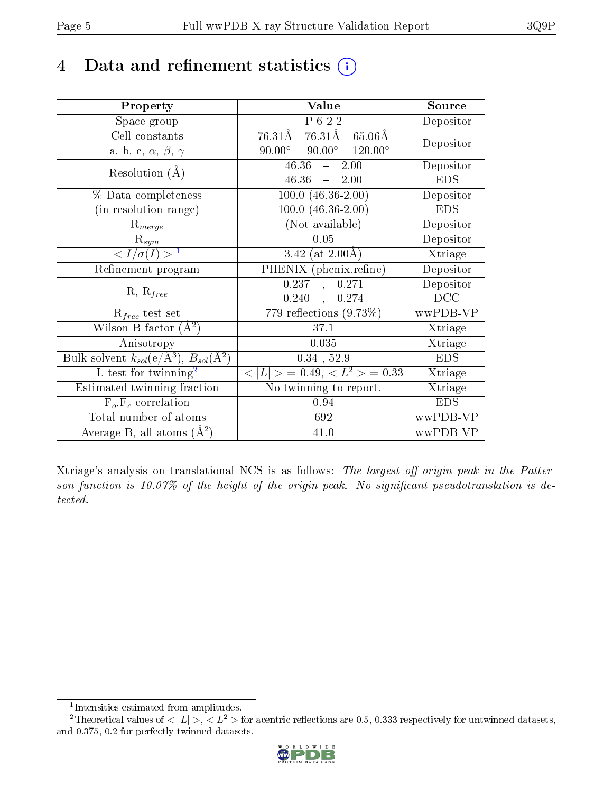## 4 Data and refinement statistics  $(i)$

| Property                                                                | Value                                            | Source     |
|-------------------------------------------------------------------------|--------------------------------------------------|------------|
| Space group                                                             | P 6 2 2                                          | Depositor  |
| Cell constants                                                          | 76.31Å<br>76.31Å<br>$65.06\text{\AA}$            |            |
| a, b, c, $\alpha$ , $\beta$ , $\gamma$                                  | $90.00^{\circ}$ $90.00^{\circ}$ $120.00^{\circ}$ | Depositor  |
| Resolution $(A)$                                                        | 46.36<br>2.00<br>$\frac{1}{2}$                   | Depositor  |
|                                                                         | 46.36<br>$-2.00$                                 | <b>EDS</b> |
| % Data completeness                                                     | $100.0 (46.36 - 2.00)$                           | Depositor  |
| (in resolution range)                                                   | $100.0 (46.36 - 2.00)$                           | <b>EDS</b> |
| $R_{merge}$                                                             | (Not available)                                  | Depositor  |
| $\mathrm{R}_{sym}$                                                      | 0.05                                             | Depositor  |
| $\langle I/\sigma(I) \rangle^{-1}$                                      | 3.42 (at $2.00\text{\AA}$ )                      | Xtriage    |
| Refinement program                                                      | PHENIX (phenix.refine)                           | Depositor  |
|                                                                         | 0.271<br>0.237<br>$\Delta$                       | Depositor  |
| $R, R_{free}$                                                           | 0.240<br>0.274<br>$\mathbf{A}$                   | DCC        |
| $R_{free}$ test set                                                     | 779 reflections $(9.73\%)$                       | wwPDB-VP   |
| Wilson B-factor $(A^2)$                                                 | 37.1                                             | Xtriage    |
| Anisotropy                                                              | 0.035                                            | Xtriage    |
| Bulk solvent $k_{sol}(\mathrm{e}/\mathrm{A}^3),\,B_{sol}(\mathrm{A}^2)$ | $0.34$ , $52.9$                                  | <b>EDS</b> |
| L-test for twinning <sup>2</sup>                                        | $< L >$ = 0.49, $< L2$ = 0.33                    | Xtriage    |
| Estimated twinning fraction                                             | No twinning to report.                           | Xtriage    |
| $F_o, F_c$ correlation                                                  | 0.94                                             | <b>EDS</b> |
| Total number of atoms                                                   | 692                                              | wwPDB-VP   |
| Average B, all atoms $(A^2)$                                            | 41.0                                             | wwPDB-VP   |

Xtriage's analysis on translational NCS is as follows: The largest off-origin peak in the Patterson function is 10.07% of the height of the origin peak. No significant pseudotranslation is detected.

<sup>&</sup>lt;sup>2</sup>Theoretical values of  $\langle |L| \rangle$ ,  $\langle L^2 \rangle$  for acentric reflections are 0.5, 0.333 respectively for untwinned datasets, and 0.375, 0.2 for perfectly twinned datasets.



<span id="page-4-1"></span><span id="page-4-0"></span><sup>1</sup> Intensities estimated from amplitudes.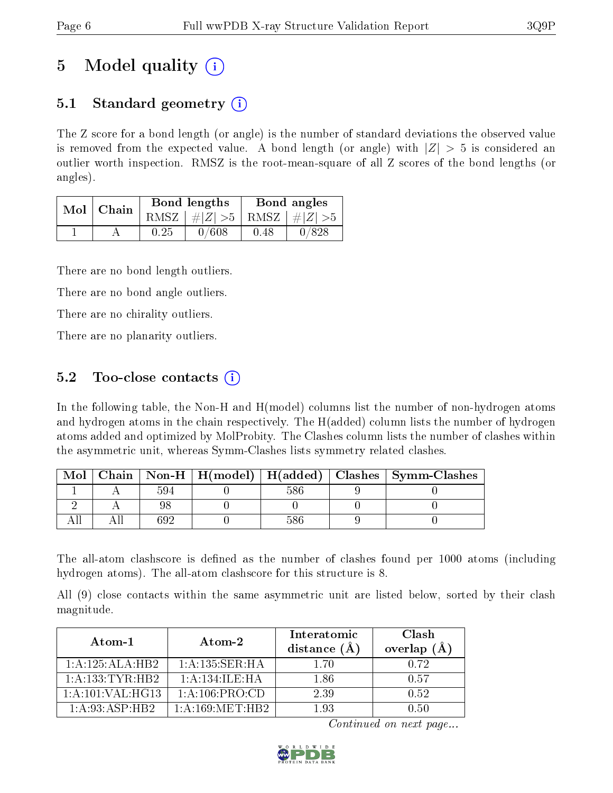# 5 Model quality  $(i)$

### 5.1 Standard geometry (i)

The Z score for a bond length (or angle) is the number of standard deviations the observed value is removed from the expected value. A bond length (or angle) with  $|Z| > 5$  is considered an outlier worth inspection. RMSZ is the root-mean-square of all Z scores of the bond lengths (or angles).

| Mol | Chain |      | <b>Bond lengths</b>        | Bond angles |       |  |
|-----|-------|------|----------------------------|-------------|-------|--|
|     |       | RMSZ | $\#Z  > 5$ RMSZ $\#Z  > 5$ |             |       |  |
|     |       | 0.25 | 0/608                      | 0.48        | 0/828 |  |

There are no bond length outliers.

There are no bond angle outliers.

There are no chirality outliers.

There are no planarity outliers.

### 5.2 Too-close contacts  $\overline{()}$

In the following table, the Non-H and H(model) columns list the number of non-hydrogen atoms and hydrogen atoms in the chain respectively. The H(added) column lists the number of hydrogen atoms added and optimized by MolProbity. The Clashes column lists the number of clashes within the asymmetric unit, whereas Symm-Clashes lists symmetry related clashes.

| Mol |      |     | Chain   Non-H   H(model)   H(added)   Clashes   Symm-Clashes |
|-----|------|-----|--------------------------------------------------------------|
|     | 594  | 586 |                                                              |
|     |      |     |                                                              |
|     | 60 S |     |                                                              |

The all-atom clashscore is defined as the number of clashes found per 1000 atoms (including hydrogen atoms). The all-atom clashscore for this structure is 8.

All (9) close contacts within the same asymmetric unit are listed below, sorted by their clash magnitude.

| Atom-1           | Atom-2              | Interatomic<br>distance $(A)$ | Clash<br>overlap $(\AA)$ |
|------------------|---------------------|-------------------------------|--------------------------|
| 1:A:125:ALA:HB2  | 1:A:135:SER:HA      | 1 70                          | 0.72                     |
| 1:A:133:TYR:HB2  | 1: A:134: ILE:HA    | 1.86                          | 0.57                     |
| 1:A:101:VAL:HG13 | 1: A: 106: PRO:CD   | 2.39                          | 0.52                     |
| 1: A:93: ASP:HB2 | 1: A: 169: MET: HB2 | 193                           | N 50                     |

Continued on next page...

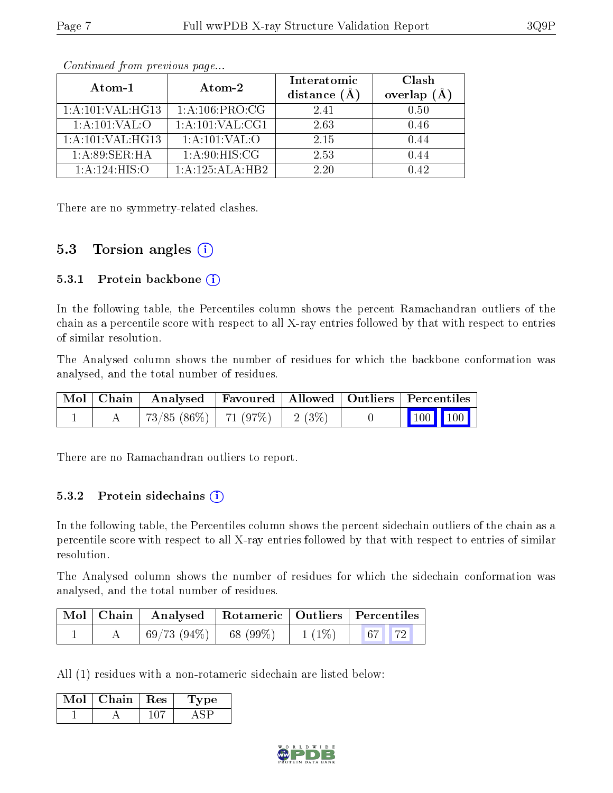| Atom-1            | Atom-2              | Interatomic<br>distance (Å | Clash<br>overlap |
|-------------------|---------------------|----------------------------|------------------|
| 1:A:101:VAL:HG13  | 1: A:106: PRO:CG    | 2.41                       | 0.50             |
| 1: A: 101: VAL: O | 1: A: 101: VAL: CG1 | 2.63                       | 0.46             |
| 1:A:101:VAL:HG13  | 1: A: 101: VAL: O   | 2.15                       | 0.44             |
| 1: A:89: SER: HA  | 1: A:90:HIS:CG      | 2.53                       | () 44            |
| 1:A:124:HIS:O     | 1:A:125:ALA:HB2     | 2.20                       | ) 49             |

Continued from previous page...

There are no symmetry-related clashes.

#### 5.3 Torsion angles  $(i)$

#### 5.3.1 Protein backbone  $(i)$

In the following table, the Percentiles column shows the percent Ramachandran outliers of the chain as a percentile score with respect to all X-ray entries followed by that with respect to entries of similar resolution.

The Analysed column shows the number of residues for which the backbone conformation was analysed, and the total number of residues.

|  | $\mid$ Mol $\mid$ Chain $\mid$ Analysed $\mid$ Favoured $\mid$ Allowed $\mid$ Outliers $\mid$ Percentiles |  |                                                            |  |
|--|-----------------------------------------------------------------------------------------------------------|--|------------------------------------------------------------|--|
|  | 73/85 (86%)   71 (97%)   2 (3%)                                                                           |  | $\begin{array}{ c c c c }\n\hline\n100 & 100\n\end{array}$ |  |

There are no Ramachandran outliers to report.

#### 5.3.2 Protein sidechains (i)

In the following table, the Percentiles column shows the percent sidechain outliers of the chain as a percentile score with respect to all X-ray entries followed by that with respect to entries of similar resolution.

The Analysed column shows the number of residues for which the sidechain conformation was analysed, and the total number of residues.

|  | Mol   Chain   Analysed   Rotameric   Outliers   Percentiles |          |  |
|--|-------------------------------------------------------------|----------|--|
|  | $\mid 69/73 \; (94\%) \mid 68 \; (99\%)$                    | $1(1\%)$ |  |

All (1) residues with a non-rotameric sidechain are listed below:

| Mol 1 | Chain   Res | Type |
|-------|-------------|------|
|       |             |      |

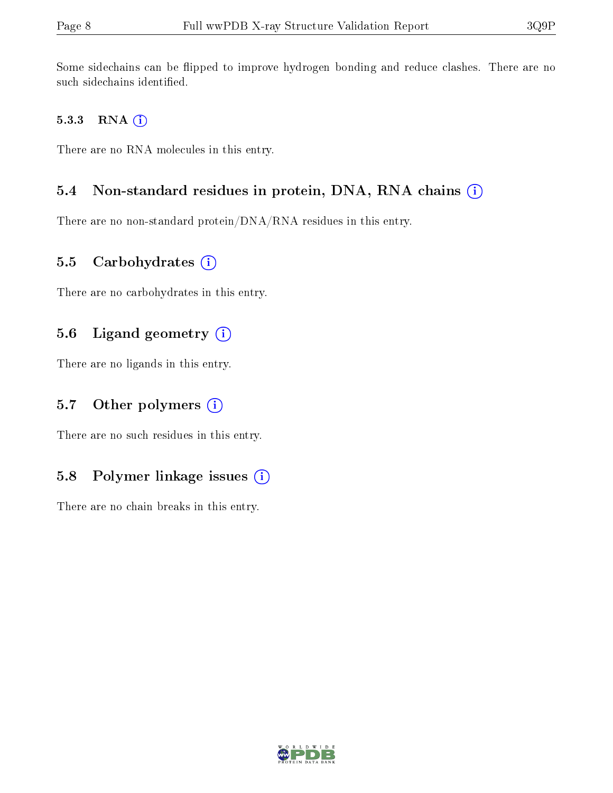Some sidechains can be flipped to improve hydrogen bonding and reduce clashes. There are no such sidechains identified.

#### 5.3.3 RNA (i)

There are no RNA molecules in this entry.

#### 5.4 Non-standard residues in protein, DNA, RNA chains (i)

There are no non-standard protein/DNA/RNA residues in this entry.

#### 5.5 Carbohydrates  $(i)$

There are no carbohydrates in this entry.

#### 5.6 Ligand geometry  $(i)$

There are no ligands in this entry.

#### 5.7 [O](https://www.wwpdb.org/validation/2017/XrayValidationReportHelp#nonstandard_residues_and_ligands)ther polymers  $(i)$

There are no such residues in this entry.

### 5.8 Polymer linkage issues  $(i)$

There are no chain breaks in this entry.